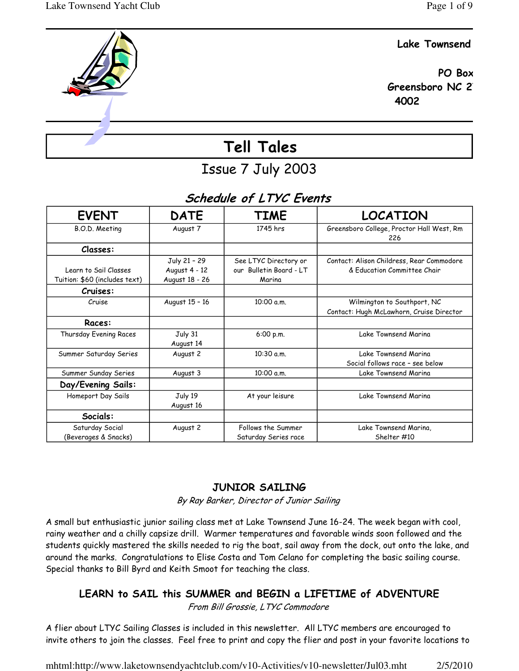### Lake Townsend

 PO Box Greensboro NC 2 4002

# Tell Tales

## Issue 7 July 2003

## Schedule of LTYC Events

| <b>EVENT</b>                  | <b>DATE</b>    | <b>TIME</b>             | <b>LOCATION</b>                                  |
|-------------------------------|----------------|-------------------------|--------------------------------------------------|
| B.O.D. Meeting                | August 7       | 1745 hrs                | Greensboro College, Proctor Hall West, Rm<br>226 |
| Classes:                      |                |                         |                                                  |
|                               | July 21 - 29   | See LTYC Directory or   | Contact: Alison Childress, Rear Commodore        |
| Learn to Sail Classes         | August 4 - 12  | our Bulletin Board - LT | & Fducation Committee Chair                      |
| Tuition: \$60 (includes text) | August 18 - 26 | Marina                  |                                                  |
| Cruises:                      |                |                         |                                                  |
| Cruise                        | August 15 - 16 | 10:00 a.m.              | Wilmington to Southport, NC                      |
|                               |                |                         | Contact: Hugh McLawhorn, Cruise Director         |
| Races:                        |                |                         |                                                  |
| Thursday Evening Races        | July 31        | 6:00 p.m.               | Lake Townsend Marina                             |
|                               | August 14      |                         |                                                  |
| Summer Saturday Series        | August 2       | 10:30 a.m.              | Lake Townsend Marina                             |
|                               |                |                         | Social follows race - see below                  |
| Summer Sunday Series          | August 3       | 10:00 a.m.              | Lake Townsend Marina                             |
| Day/Evening Sails:            |                |                         |                                                  |
| Homeport Day Sails            | July 19        | At your leisure         | Lake Townsend Marina                             |
|                               | August 16      |                         |                                                  |
| Socials:                      |                |                         |                                                  |
| Saturday Social               | August 2       | Follows the Summer      | Lake Townsend Marina,                            |
| (Beverages & Snacks)          |                | Saturday Series race    | Shelter #10                                      |

## JUNIOR SAILING

By Ray Barker, Director of Junior Sailing

A small but enthusiastic junior sailing class met at Lake Townsend June 16-24. The week began with cool, rainy weather and a chilly capsize drill. Warmer temperatures and favorable winds soon followed and the students quickly mastered the skills needed to rig the boat, sail away from the dock, out onto the lake, and around the marks. Congratulations to Elise Costa and Tom Celano for completing the basic sailing course. Special thanks to Bill Byrd and Keith Smoot for teaching the class.

## LEARN to SAIL this SUMMER and BEGIN a LIFETIME of ADVENTURE

From Bill Grossie, LTYC Commodore

A flier about LTYC Sailing Classes is included in this newsletter. All LTYC members are encouraged to invite others to join the classes. Feel free to print and copy the flier and post in your favorite locations to

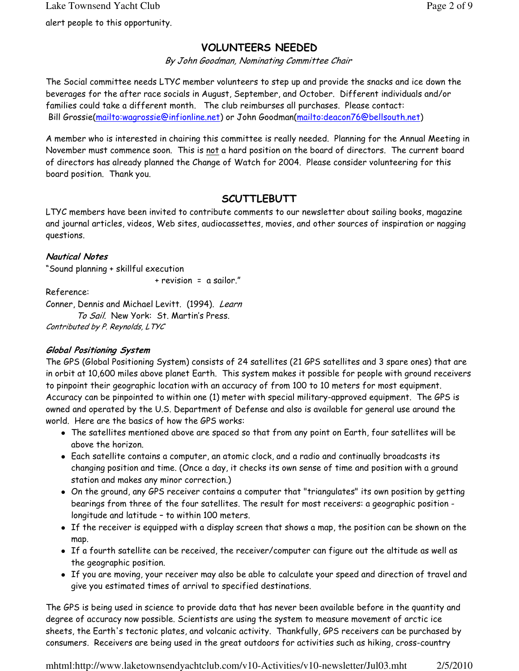## VOLUNTEERS NEEDED

By John Goodman, Nominating Committee Chair

The Social committee needs LTYC member volunteers to step up and provide the snacks and ice down the beverages for the after race socials in August, September, and October. Different individuals and/or families could take a different month. The club reimburses all purchases. Please contact: Bill Grossie(mailto:wagrossie@infionline.net) or John Goodman(mailto:deacon76@bellsouth.net)

A member who is interested in chairing this committee is really needed. Planning for the Annual Meeting in November must commence soon. This is not a hard position on the board of directors. The current board of directors has already planned the Change of Watch for 2004. Please consider volunteering for this board position. Thank you.

## **SCUTTLEBUTT**

LTYC members have been invited to contribute comments to our newsletter about sailing books, magazine and journal articles, videos, Web sites, audiocassettes, movies, and other sources of inspiration or nagging questions.

### Nautical Notes

"Sound planning + skillful execution

+ revision = a sailor."

Reference:

Conner, Dennis and Michael Levitt. (1994). Learn To Sail. New York: St. Martin's Press.

Contributed by P. Reynolds, LTYC

### Global Positioning System

The GPS (Global Positioning System) consists of 24 satellites (21 GPS satellites and 3 spare ones) that are in orbit at 10,600 miles above planet Earth. This system makes it possible for people with ground receivers to pinpoint their geographic location with an accuracy of from 100 to 10 meters for most equipment. Accuracy can be pinpointed to within one (1) meter with special military-approved equipment. The GPS is owned and operated by the U.S. Department of Defense and also is available for general use around the world. Here are the basics of how the GPS works:

- The satellites mentioned above are spaced so that from any point on Earth, four satellites will be above the horizon.
- Each satellite contains a computer, an atomic clock, and a radio and continually broadcasts its changing position and time. (Once a day, it checks its own sense of time and position with a ground station and makes any minor correction.)
- On the ground, any GPS receiver contains a computer that "triangulates" its own position by getting bearings from three of the four satellites. The result for most receivers: a geographic position longitude and latitude – to within 100 meters.
- If the receiver is equipped with a display screen that shows a map, the position can be shown on the map.
- If a fourth satellite can be received, the receiver/computer can figure out the altitude as well as the geographic position.
- If you are moving, your receiver may also be able to calculate your speed and direction of travel and give you estimated times of arrival to specified destinations.

The GPS is being used in science to provide data that has never been available before in the quantity and degree of accuracy now possible. Scientists are using the system to measure movement of arctic ice sheets, the Earth's tectonic plates, and volcanic activity. Thankfully, GPS receivers can be purchased by consumers. Receivers are being used in the great outdoors for activities such as hiking, cross-country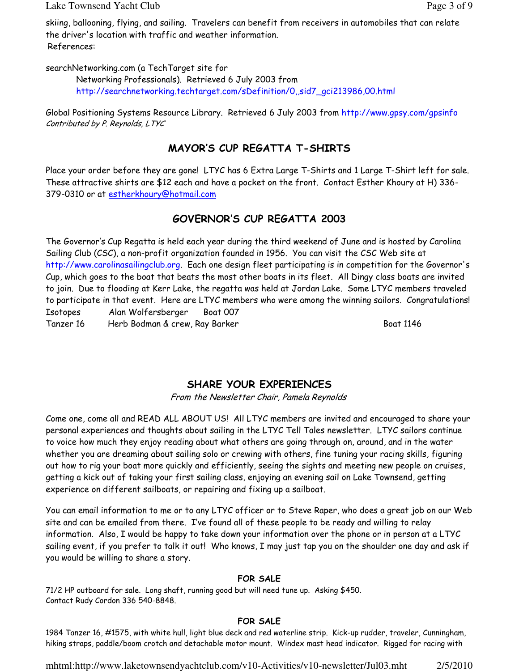Lake Townsend Yacht Club Page 3 of 9

skiing, ballooning, flying, and sailing. Travelers can benefit from receivers in automobiles that can relate the driver's location with traffic and weather information. References:

searchNetworking.com (a TechTarget site for

Networking Professionals). Retrieved 6 July 2003 from http://searchnetworking.techtarget.com/sDefinition/0,,sid7\_gci213986,00.html

Global Positioning Systems Resource Library. Retrieved 6 July 2003 from http://www.qpsy.com/qpsinfo Contributed by P. Reynolds, LTYC

## MAYOR'S CUP REGATTA T-SHIRTS

Place your order before they are gone! LTYC has 6 Extra Large T-Shirts and 1 Large T-Shirt left for sale. These attractive shirts are \$12 each and have a pocket on the front. Contact Esther Khoury at H) 336- 379-0310 or at estherkhoury@hotmail.com

## GOVERNOR'S CUP REGATTA 2003

The Governor's Cup Regatta is held each year during the third weekend of June and is hosted by Carolina Sailing Club (CSC), a non-profit organization founded in 1956. You can visit the CSC Web site at http://www.carolinasailingclub.org. Each one design fleet participating is in competition for the Governor's Cup, which goes to the boat that beats the most other boats in its fleet. All Dingy class boats are invited to join. Due to flooding at Kerr Lake, the regatta was held at Jordan Lake. Some LTYC members traveled to participate in that event. Here are LTYC members who were among the winning sailors. Congratulations! Isotopes Alan Wolfersberger Boat 007 Tanzer 16 Herb Bodman & crew, Ray Barker Boat 1146

SHARE YOUR EXPERIENCES

From the Newsletter Chair, Pamela Reynolds

Come one, come all and READ ALL ABOUT US! All LTYC members are invited and encouraged to share your personal experiences and thoughts about sailing in the LTYC Tell Tales newsletter. LTYC sailors continue to voice how much they enjoy reading about what others are going through on, around, and in the water whether you are dreaming about sailing solo or crewing with others, fine tuning your racing skills, figuring out how to rig your boat more quickly and efficiently, seeing the sights and meeting new people on cruises, getting a kick out of taking your first sailing class, enjoying an evening sail on Lake Townsend, getting experience on different sailboats, or repairing and fixing up a sailboat.

You can email information to me or to any LTYC officer or to Steve Raper, who does a great job on our Web site and can be emailed from there. I've found all of these people to be ready and willing to relay information. Also, I would be happy to take down your information over the phone or in person at a LTYC sailing event, if you prefer to talk it out! Who knows, I may just tap you on the shoulder one day and ask if you would be willing to share a story.

### FOR SALE

71/2 HP outboard for sale. Long shaft, running good but will need tune up. Asking \$450. Contact Rudy Cordon 336 540-8848.

### FOR SALE

1984 Tanzer 16, #1575, with white hull, light blue deck and red waterline strip. Kick-up rudder, traveler, Cunningham, hiking straps, paddle/boom crotch and detachable motor mount. Windex mast head indicator. Rigged for racing with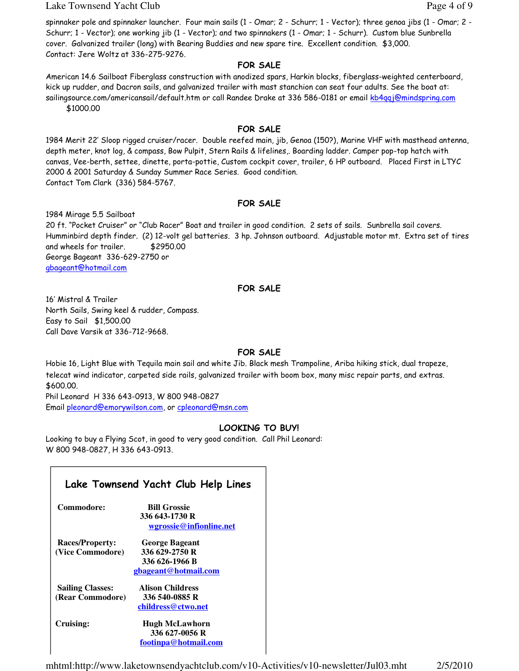Lake Townsend Yacht Club **Page 4 of 9** and  $P$  and  $P$  and  $P$  and  $P$  and  $P$  and  $P$  and  $P$  and  $P$  and  $P$  and  $P$  and  $P$  and  $P$  and  $P$  and  $P$  and  $P$  and  $P$  and  $P$  and  $P$  and  $P$  and  $P$  and  $P$  and  $P$  and  $P$ 

spinnaker pole and spinnaker launcher. Four main sails (1 - Omar; 2 - Schurr; 1 - Vector); three genoa jibs (1 - Omar; 2 - Schurr; 1 - Vector); one working jib (1 - Vector); and two spinnakers (1 - Omar; 1 - Schurr). Custom blue Sunbrella cover. Galvanized trailer (long) with Bearing Buddies and new spare tire. Excellent condition. \$3,000. Contact: Jere Woltz at 336-275-9276.

#### FOR SALE

American 14.6 Sailboat Fiberglass construction with anodized spars, Harkin blocks, fiberglass-weighted centerboard, kick up rudder, and Dacron sails, and galvanized trailer with mast stanchion can seat four adults. See the boat at: sailingsource.com/americansail/default.htm or call Randee Drake at 336 586-0181 or email kb4qqj@mindspring.com \$1000.00

FOR SALE

1984 Merit 22' Sloop rigged cruiser/racer. Double reefed main, jib, Genoa (150?), Marine VHF with masthead antenna, depth meter, knot log, & compass, Bow Pulpit, Stern Rails & lifelines,. Boarding ladder. Camper pop-top hatch with canvas, Vee-berth, settee, dinette, porta-pottie, Custom cockpit cover, trailer, 6 HP outboard. Placed First in LTYC 2000 & 2001 Saturday & Sunday Summer Race Series. Good condition. Contact Tom Clark (336) 584-5767.

#### FOR SALE

1984 Mirage 5.5 Sailboat

20 ft. "Pocket Cruiser" or "Club Racer" Boat and trailer in good condition. 2 sets of sails. Sunbrella sail covers. Humminbird depth finder. (2) 12-volt gel batteries. 3 hp. Johnson outboard. Adjustable motor mt. Extra set of tires and wheels for trailer. \$2950.00 George Bageant 336-629-2750 or gbageant@hotmail.com

#### FOR SALE

16' Mistral & Trailer North Sails, Swing keel & rudder, Compass. Easy to Sail \$1,500.00 Call Dave Varsik at 336-712-9668.

### FOR SALE

Hobie 16, Light Blue with Tequila main sail and white Jib. Black mesh Trampoline, Ariba hiking stick, dual trapeze, telecat wind indicator, carpeted side rails, galvanized trailer with boom box, many misc repair parts, and extras. \$600.00. Phil Leonard H 336 643-0913, W 800 948-0827

Email pleonard@emorywilson.com, or cpleonard@msn.com

#### LOOKING TO BUY!

Looking to buy a Flying Scot, in good to very good condition. Call Phil Leonard: W 800 948-0827, H 336 643-0913.

|                                             | Lake Townsend Yacht Club Help Lines                                        |
|---------------------------------------------|----------------------------------------------------------------------------|
| Commodore:                                  | <b>Bill Grossie</b><br>336 643-1730 R<br>wgrossie@infionline.net           |
| <b>Races/Property:</b><br>(Vice Commodore)  | George Bageant<br>336 629-2750 R<br>336 626-1966 B<br>gbageant@hotmail.com |
| <b>Sailing Classes:</b><br>(Rear Commodore) | <b>Alison Childress</b><br>336 540-0885 R<br>childress@ctwo.net            |
| Cruising:                                   | <b>Hugh McLawhorn</b><br>336 627-0056 R<br>footinpa@hotmail.com            |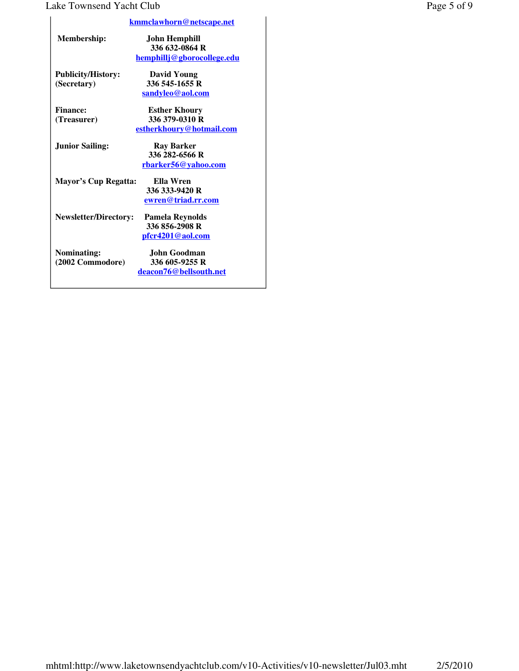## Lake Townsend Yacht Club Page 5 of 9

|                              | <u>kmmclawhorn@netscape.net</u> |
|------------------------------|---------------------------------|
| <b>Membership:</b>           | John Hemphill                   |
|                              | 336 632-0864 R                  |
|                              | hemphillj@gborocollege.edu      |
| <b>Publicity/History:</b>    | David Young                     |
| (Secretary)                  | 336 545-1655 R                  |
|                              | sandyleo@aol.com                |
| <b>Finance:</b>              | <b>Esther Khoury</b>            |
| (Treasurer)                  | 336 379-0310 R                  |
|                              | estherkhoury@hotmail.com        |
| <b>Junior Sailing:</b>       | <b>Ray Barker</b>               |
|                              | 336 282-6566 R                  |
|                              | <u>rbarker56@yahoo.com</u>      |
| Mayor's Cup Regatta:         | Ella Wren                       |
|                              | 336 333-9420 R                  |
|                              | ewren@triad.rr.com              |
| <b>Newsletter/Directory:</b> | Pamela Reynolds                 |
|                              | 336 856-2908 R                  |
|                              | pfcr4201@aol.com                |
| Nominating:                  | John Goodman                    |
| (2002 Commodore)             | 336 605-9255 R                  |
|                              | deacon76@bellsouth.net          |
|                              |                                 |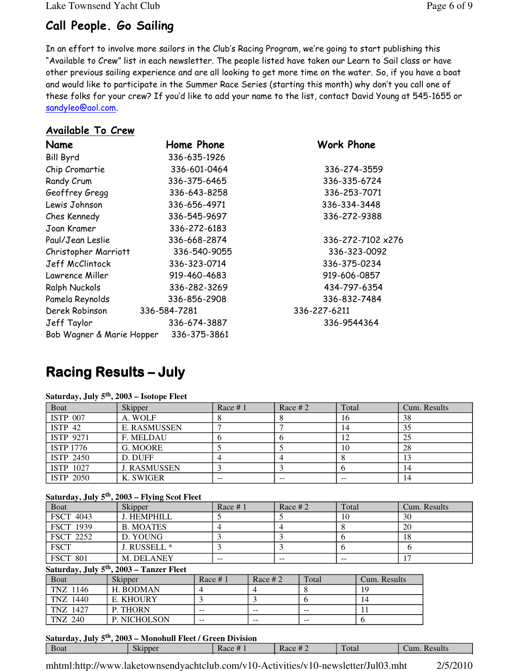Lake Townsend Yacht Club Page 6 of 9

## Call People. Go Sailing

In an effort to involve more sailors in the Club's Racing Program, we're going to start publishing this "Available to Crew" list in each newsletter. The people listed have taken our Learn to Sail class or have other previous sailing experience and are all looking to get more time on the water. So, if you have a boat and would like to participate in the Summer Race Series (starting this month) why don't you call one of these folks for your crew? If you'd like to add your name to the list, contact David Young at 545-1655 or sandyleo@aol.com.

## Available To Crew

| Name                      | Home Phone   | Work Phone        |
|---------------------------|--------------|-------------------|
| <b>Bill Byrd</b>          | 336-635-1926 |                   |
| Chip Cromartie            | 336-601-0464 | 336-274-3559      |
| Randy Crum                | 336-375-6465 | 336-335-6724      |
| Geoffrey Gregg            | 336-643-8258 | 336-253-7071      |
| Lewis Johnson             | 336-656-4971 | 336-334-3448      |
| Ches Kennedy              | 336-545-9697 | 336-272-9388      |
| Joan Kramer               | 336-272-6183 |                   |
| Paul/Jean Leslie          | 336-668-2874 | 336-272-7102 x276 |
| Christopher Marriott      | 336-540-9055 | 336-323-0092      |
| Jeff McClintock           | 336-323-0714 | 336-375-0234      |
| Lawrence Miller           | 919-460-4683 | 919-606-0857      |
| Ralph Nuckols             | 336-282-3269 | 434-797-6354      |
| Pamela Reynolds           | 336-856-2908 | 336-832-7484      |
| Derek Robinson            | 336-584-7281 | 336-227-6211      |
| Jeff Taylor               | 336-674-3887 | 336-9544364       |
| Bob Wagner & Marie Hopper | 336-375-3861 |                   |

## **Racing Results – July**

| Boat               | Skipper             | Race $# 1$ | Race # $2$ | Total | Cum. Results |
|--------------------|---------------------|------------|------------|-------|--------------|
| <b>ISTP 007</b>    | A. WOLF             |            |            | 16    | 38           |
| ISTP <sub>42</sub> | <b>E. RASMUSSEN</b> |            |            | 14    | 35           |
| ISTP 9271          | <b>F. MELDAU</b>    | n          |            | 12    | 25           |
| <b>ISTP 1776</b>   | G. MOORE            |            |            | 10    | 28           |
| ISTP 2450          | D. DUFF             |            |            |       |              |
| ISTP 1027          | <b>J. RASMUSSEN</b> |            |            |       | 14           |
| ISTP 2050          | K. SWIGER           | $-$        |            | $- -$ | 14           |

#### **Saturday, July 5th, 2003 – Isotope Fleet**

#### **Saturday, July 5th, 2003 – Flying Scot Fleet**

|                  | $000 - 24.$                                          |           |            |           |       |       |              |    |              |
|------------------|------------------------------------------------------|-----------|------------|-----------|-------|-------|--------------|----|--------------|
| Boat             | Skipper                                              |           | Race $# 1$ | Race $#2$ |       | Total |              |    | Cum. Results |
| <b>FSCT 4043</b> | J. HEMPHILL                                          |           |            |           |       | 10    |              | 30 |              |
| FSCT 1939        | <b>B. MOATES</b>                                     | 4         |            | 4         |       | 8     |              | 20 |              |
| <b>FSCT 2252</b> | D. YOUNG                                             | 3         |            |           |       | 6     |              | 18 |              |
| <b>FSCT</b>      | J. RUSSELL *                                         | 3         |            |           |       | 6     |              | 6  |              |
| <b>FSCT 801</b>  | M. DELANEY                                           | --        |            | --        |       | --    |              | 17 |              |
|                  | Saturday, July 5 <sup>th</sup> , 2003 – Tanzer Fleet |           |            |           |       |       |              |    |              |
| Boat             | Skipper                                              | Race $#1$ |            | Race $#2$ | Total |       | Cum. Results |    |              |
| TNZ 1146         | H. BODMAN                                            | 4         | 4          |           | 8     |       | 19           |    |              |
| TNZ 1440         | E. KHOURY                                            |           | 3          |           | 6     |       | 14           |    |              |
| TNZ 1427         | P. THORN                                             | --        | $- -$      |           | $- -$ |       | 11           |    |              |
| TNZ 240          | <b>P. NICHOLSON</b>                                  | --        | $- -$      |           | $- -$ |       | 6            |    |              |
|                  |                                                      |           |            |           |       |       |              |    |              |

#### **Saturday, July 5th, 2003 – Monohull Fleet / Green Division**

| Boat | Skipper | Race $#_1$ | Race $#2$ | Total | Results<br>Cum. |
|------|---------|------------|-----------|-------|-----------------|
|      |         |            |           |       |                 |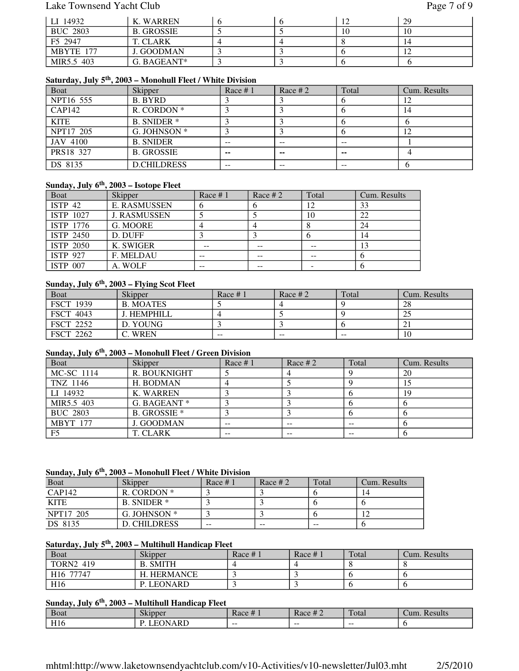### Lake Townsend Yacht Club Page 7 of 9

| LI 14932        | K. WARREN         |  |    | 29 |
|-----------------|-------------------|--|----|----|
| <b>BUC 2803</b> | <b>B. GROSSIE</b> |  | 10 | 10 |
| F5 2947         | T. CLARK          |  |    |    |
| MBYTE 177       | J. GOODMAN        |  |    |    |
| MIR5.5 403      | G. BAGEANT*       |  |    |    |

## **Saturday, July 5th, 2003 – Monohull Fleet / White Division**

| Boat        | Skipper            | Race $# 1$ | Race $#2$ | Total | Cum. Results |
|-------------|--------------------|------------|-----------|-------|--------------|
| NPT16 555   | B. BYRD            |            |           |       |              |
| CAP142      | R. CORDON *        |            |           | v     | 14           |
| <b>KITE</b> | <b>B. SNIDER</b> * |            |           |       |              |
| NPT17 205   | G. JOHNSON *       |            |           |       |              |
| JAV 4100    | <b>B. SNIDER</b>   | $- -$      | --        | $- -$ |              |
| PRS18 327   | <b>B. GROSSIE</b>  | $\sim$     | --        | --    |              |
| DS 8135     | <b>D.CHILDRESS</b> | $- -$      | --        | $- -$ |              |

#### **Sunday, July 6th, 2003 – Isotope Fleet**

| Boat               | Skipper             | Race $# 1$ | Race # $2$ | Total | Cum. Results |
|--------------------|---------------------|------------|------------|-------|--------------|
| ISTP <sub>42</sub> | <b>E. RASMUSSEN</b> |            |            |       | 33           |
| ISTP 1027          | <b>J. RASMUSSEN</b> |            |            | 10    | 22           |
| ISTP 1776          | G. MOORE            |            |            |       | 24           |
| ISTP 2450          | D. DUFF             |            |            | O     | 14           |
| <b>ISTP 2050</b>   | K. SWIGER           |            |            |       | 13           |
| <b>ISTP 927</b>    | <b>F. MELDAU</b>    | $- -$      |            |       |              |
| <b>ISTP 007</b>    | A. WOLF             |            |            |       |              |

## **Sunday, July 6th, 2003 – Flying Scot Fleet**

| Boat             | <b>Skipper</b>   | Race $#1$ | Race # $2$ | Total | Cum. Results |
|------------------|------------------|-----------|------------|-------|--------------|
| <b>FSCT 1939</b> | <b>B. MOATES</b> |           |            |       | 28           |
| <b>FSCT 4043</b> | I. HEMPHILL      |           |            |       | ىك           |
| <b>FSCT 2252</b> | D. YOUNG         |           |            |       |              |
| <b>FSCT 2262</b> | <b>WREN</b>      | $- -$     | $- -$      | $- -$ | 10           |

## **Sunday, July 6th, 2003 – Monohull Fleet / Green Division**

| <b>Boat</b>     | Skipper             | Race $# 1$ | Race $#2$ | Total | Cum. Results |
|-----------------|---------------------|------------|-----------|-------|--------------|
| MC-SC 1114      | R. BOUKNIGHT        |            |           |       | 20           |
| TNZ 1146        | H. BODMAN           |            |           |       |              |
| LI 14932        | K. WARREN           |            |           |       | 19           |
| MIR5.5 403      | G. BAGEANT *        |            |           |       |              |
| <b>BUC 2803</b> | <b>B. GROSSIE</b> * |            |           |       |              |
| <b>MBYT 177</b> | <b>J. GOODMAN</b>   | $- -$      | $- -$     | $- -$ |              |
| F <sub>5</sub>  | T. CLARK            | --         |           | --    |              |

#### **Sunday, July 6th, 2003 – Monohull Fleet / White Division**

| <b>Boat</b> | Skipper        | Race $#1$ | Race # $2$ | Total | Cum. Results |
|-------------|----------------|-----------|------------|-------|--------------|
| CAP142      | R. CORDON *    |           |            |       | 14           |
| <b>KITE</b> | B. SNIDER *    |           |            |       |              |
| NPT17 205   | G. JOHNSON $*$ |           |            |       |              |
| DS 8135     | D. CHILDRESS   | $- -$     | $- -$      | $- -$ |              |

#### **Saturday, July 5th, 2003 – Multihull Handicap Fleet**

| <b>Boat</b>           | Skipper        | Race $# 1$ | Race $#_1$ | Total | Cum. Results |
|-----------------------|----------------|------------|------------|-------|--------------|
| <b>TORN2 419</b>      | <b>SMITH</b>   |            |            |       |              |
| H <sub>16</sub> 77747 | HERMANCE       |            |            |       |              |
| H <sub>16</sub>       | <b>LEONARD</b> |            |            |       |              |

## **Sunday, July 6th, 2003 – Multihull Handicap Fleet**

| <b>B</b> oat    | $\sim$ 1<br>Skipper | $\mathbf{u}$<br>Race # | $\mathbf{u}$<br>Race # $2$ | Total | Cum.<br>Results |
|-----------------|---------------------|------------------------|----------------------------|-------|-----------------|
| TT1             | <b>NARD</b>         | $- -$                  | --                         | ---   |                 |
| H <sub>10</sub> | ורו                 |                        |                            |       |                 |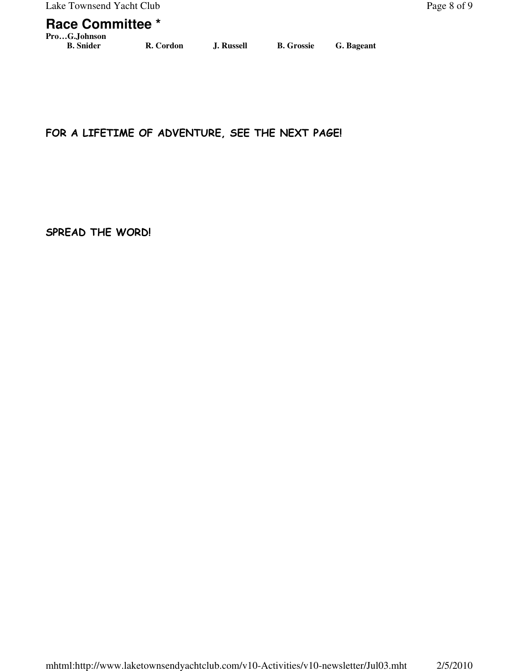## **Race Committee \***

**Pro…G.Johnson**

FOR A LIFETIME OF ADVENTURE, SEE THE NEXT PAGE!

SPREAD THE WORD!